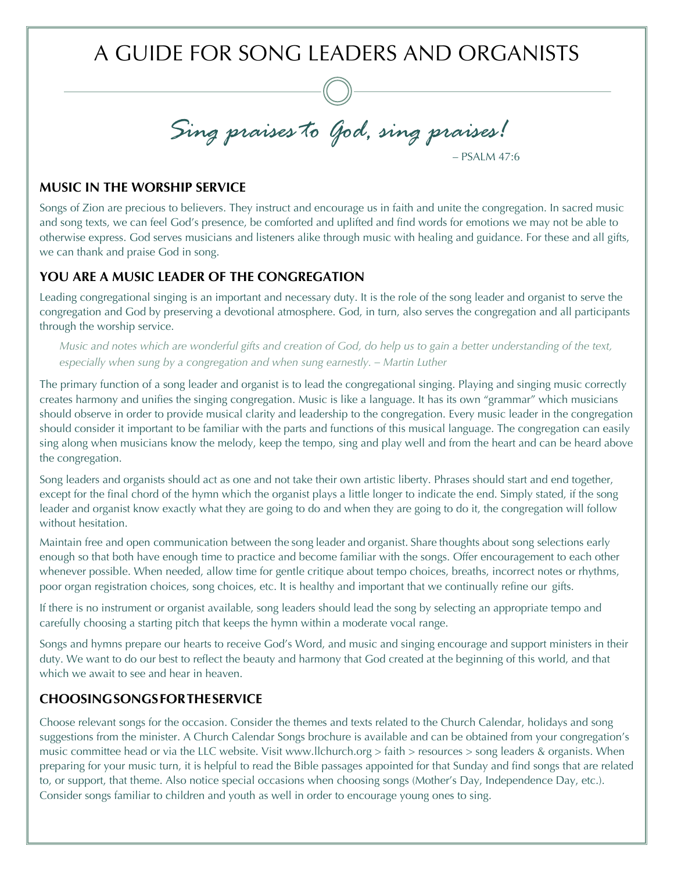A GUIDE FOR SONG LEADERS AND ORGANISTS

*Sing praises to God, sing praises!* – PSALM 47:6

# **MUSIC IN THE WORSHIP SERVICE**

Songs of Zion are precious to believers. They instruct and encourage us in faith and unite the congregation. In sacred music and song texts, we can feel God's presence, be comforted and uplifted and find words for emotions we may not be able to otherwise express. God serves musicians and listeners alike through music with healing and guidance. For these and all gifts, we can thank and praise God in song.

## **YOU ARE A MUSIC LEADER OF THE CONGREGATION**

Leading congregational singing is an important and necessary duty. It is the role of the song leader and organist to serve the congregation and God by preserving a devotional atmosphere. God, in turn, also serves the congregation and all participants through the worship service.

*Music and notes which are wonderful gifts and creation of God, do help us to gain a better understanding of the text, especially when sung by a congregation and when sung earnestly. – Martin Luther*

The primary function of a song leader and organist is to lead the congregational singing. Playing and singing music correctly creates harmony and unifies the singing congregation. Music is like a language. It has its own "grammar" which musicians should observe in order to provide musical clarity and leadership to the congregation. Every music leader in the congregation should consider it important to be familiar with the parts and functions of this musical language. The congregation can easily sing along when musicians know the melody, keep the tempo, sing and play well and from the heart and can be heard above the congregation.

Song leaders and organists should act as one and not take their own artistic liberty. Phrases should start and end together, except for the final chord of the hymn which the organist plays a little longer to indicate the end. Simply stated, if the song leader and organist know exactly what they are going to do and when they are going to do it, the congregation will follow without hesitation.

Maintain free and open communication between the song leader and organist. Share thoughts about song selections early enough so that both have enough time to practice and become familiar with the songs. Offer encouragement to each other whenever possible. When needed, allow time for gentle critique about tempo choices, breaths, incorrect notes or rhythms, poor organ registration choices, song choices, etc. It is healthy and important that we continually refine our gifts.

If there is no instrument or organist available, song leaders should lead the song by selecting an appropriate tempo and carefully choosing a starting pitch that keeps the hymn within a moderate vocal range.

Songs and hymns prepare our hearts to receive God's Word, and music and singing encourage and support ministers in their duty. We want to do our best to reflect the beauty and harmony that God created at the beginning of this world, and that which we await to see and hear in heaven.

## **CHOOSINGSONGSFORTHESERVICE**

Choose relevant songs for the occasion. Consider the themes and texts related to the Church Calendar, holidays and song suggestions from the minister. A Church Calendar Songs brochure is available and can be obtained from your congregation's music committee head or via the LLC website. Visit www.llchurch.org > faith > resources > song leaders & organists. When preparing for your music turn, it is helpful to read the Bible passages appointed for that Sunday and find songs that are related to, or support, that theme. Also notice special occasions when choosing songs (Mother's Day, Independence Day, etc.). Consider songs familiar to children and youth as well in order to encourage young ones to sing.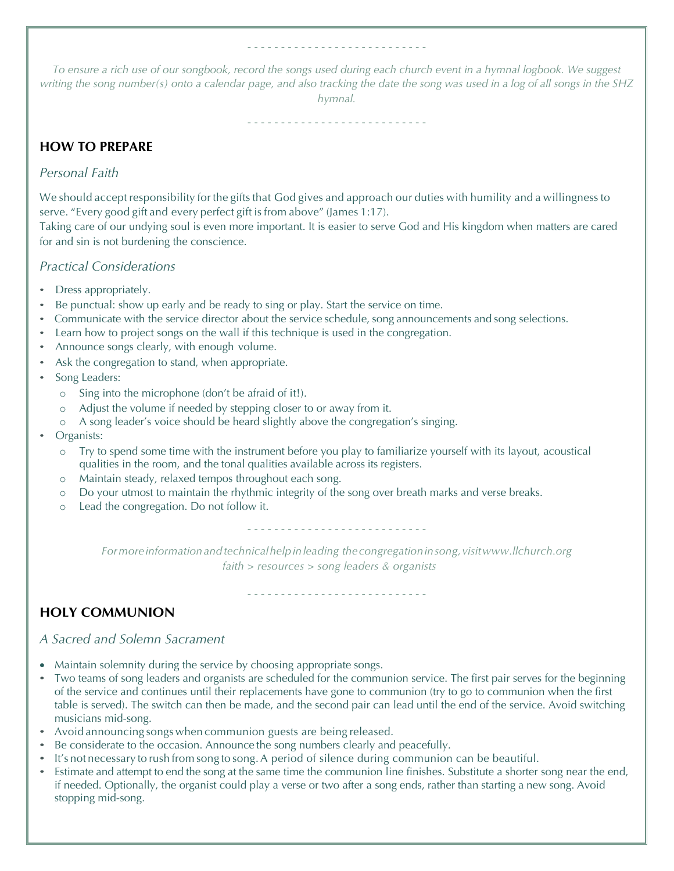*To ensure a rich use of our songbook, record the songs used during each church event in a hymnal logbook. We suggest writing the song number(s) onto a calendar page, and also tracking the date the song was used in a log of all songs in the SHZ hymnal.*

- - - - - - - - - - - - - - - - - - - - - - - - - - -

- - - - - - - - - - - - - - - - - - - - - - - - - - -

# **HOW TO PREPARE**

## *Personal Faith*

We should accept responsibility for the gifts that God gives and approach our duties with humility and a willingness to serve. "Every good gift and every perfect gift is from above" (James 1:17).

Taking care of our undying soul is even more important. It is easier to serve God and His kingdom when matters are cared for and sin is not burdening the conscience.

## *Practical Considerations*

- Dress appropriately.
- Be punctual: show up early and be ready to sing or play. Start the service on time.
- Communicate with the service director about the service schedule, song announcements and song selections.
- Learn how to project songs on the wall if this technique is used in the congregation.
- Announce songs clearly, with enough volume.
- Ask the congregation to stand, when appropriate.
- Song Leaders:
	- o Sing into the microphone (don't be afraid of it!).
	- o Adjust the volume if needed by stepping closer to or away from it.
	- o A song leader's voice should be heard slightly above the congregation's singing.
- Organists:
	- o Try to spend some time with the instrument before you play to familiarize yourself with its layout, acoustical qualities in the room, and the tonal qualities available across its registers.
	- o Maintain steady, relaxed tempos throughout each song.
	- o Do your utmost to maintain the rhythmic integrity of the song over breath marks and verse breaks.
	- o Lead the congregation. Do not follow it.

- - - - - - - - - - - - - - - - - - - - - - - - - - -

*Formore informationandtechnicalhelpinleading thecongregationinsong,visitwww.llchurch.org faith > resources > song leaders & organists*

- - - - - - - - - - - - - - - - - - - - - - - - - - -

# **HOLY COMMUNION**

### *A Sacred and Solemn Sacrament*

- Maintain solemnity during the service by choosing appropriate songs.
- Two teams of song leaders and organists are scheduled for the communion service. The first pair serves for the beginning of the service and continues until their replacements have gone to communion (try to go to communion when the first table is served). The switch can then be made, and the second pair can lead until the end of the service. Avoid switching musicians mid-song.
- Avoid announcing songs when communion guests are being released.
- Be considerate to the occasion. Announce the song numbers clearly and peacefully.
- It's not necessary to rush from song to song. A period of silence during communion can be beautiful.
- Estimate and attempt to end the song at the same time the communion line finishes. Substitute a shorter song near the end, if needed. Optionally, the organist could play a verse or two after a song ends, rather than starting a new song. Avoid stopping mid-song.